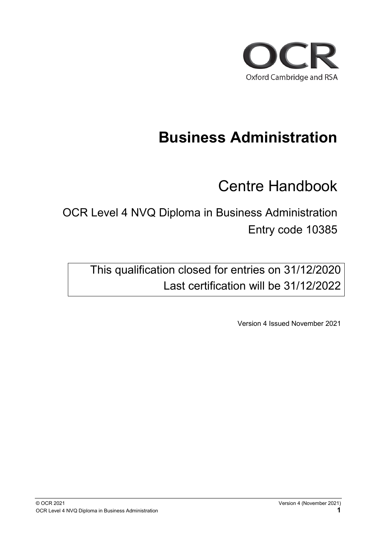

# **Business Administration**

Centre Handbook

OCR Level 4 NVQ Diploma in Business Administration Entry code 10385

This qualification closed for entries on 31/12/2020 Last certification will be 31/12/2022

Version 4 Issued November 2021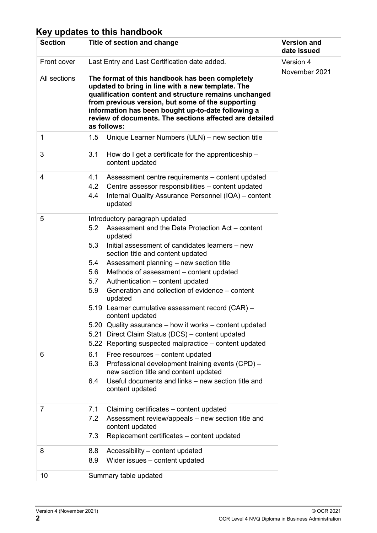#### **Key updates to this handbook**

| <b>Section</b> | Title of section and change                                                                                                                                                                                                                                                                                                                                                                                                                                                                                                                                                                                                                                                 | <b>Version and</b><br>date issued |
|----------------|-----------------------------------------------------------------------------------------------------------------------------------------------------------------------------------------------------------------------------------------------------------------------------------------------------------------------------------------------------------------------------------------------------------------------------------------------------------------------------------------------------------------------------------------------------------------------------------------------------------------------------------------------------------------------------|-----------------------------------|
| Front cover    | Last Entry and Last Certification date added.                                                                                                                                                                                                                                                                                                                                                                                                                                                                                                                                                                                                                               | Version 4                         |
| All sections   | The format of this handbook has been completely<br>updated to bring in line with a new template. The<br>qualification content and structure remains unchanged<br>from previous version, but some of the supporting<br>information has been bought up-to-date following a<br>review of documents. The sections affected are detailed<br>as follows:                                                                                                                                                                                                                                                                                                                          | November 2021                     |
| 1              | 1.5<br>Unique Learner Numbers (ULN) – new section title                                                                                                                                                                                                                                                                                                                                                                                                                                                                                                                                                                                                                     |                                   |
| 3              | 3.1<br>How do I get a certificate for the apprenticeship $-$<br>content updated                                                                                                                                                                                                                                                                                                                                                                                                                                                                                                                                                                                             |                                   |
| 4              | 4.1<br>Assessment centre requirements – content updated<br>4.2<br>Centre assessor responsibilities - content updated<br>Internal Quality Assurance Personnel (IQA) - content<br>4.4<br>updated                                                                                                                                                                                                                                                                                                                                                                                                                                                                              |                                   |
| 5              | Introductory paragraph updated<br>5.2<br>Assessment and the Data Protection Act - content<br>updated<br>5.3<br>Initial assessment of candidates learners - new<br>section title and content updated<br>Assessment planning - new section title<br>5.4<br>5.6<br>Methods of assessment - content updated<br>5.7<br>Authentication - content updated<br>Generation and collection of evidence – content<br>5.9<br>updated<br>5.19 Learner cumulative assessment record (CAR) -<br>content updated<br>5.20 Quality assurance - how it works - content updated<br>Direct Claim Status (DCS) - content updated<br>5.21<br>5.22 Reporting suspected malpractice - content updated |                                   |
| 6              | 6.1<br>Free resources - content updated<br>Professional development training events (CPD) -<br>6.3<br>new section title and content updated<br>Useful documents and links – new section title and<br>6.4<br>content updated                                                                                                                                                                                                                                                                                                                                                                                                                                                 |                                   |
| 7              | Claiming certificates - content updated<br>7.1<br>Assessment review/appeals - new section title and<br>7.2<br>content updated<br>Replacement certificates - content updated<br>7.3                                                                                                                                                                                                                                                                                                                                                                                                                                                                                          |                                   |
| 8              | 8.8<br>Accessibility - content updated<br>8.9<br>Wider issues - content updated                                                                                                                                                                                                                                                                                                                                                                                                                                                                                                                                                                                             |                                   |
| 10             | Summary table updated                                                                                                                                                                                                                                                                                                                                                                                                                                                                                                                                                                                                                                                       |                                   |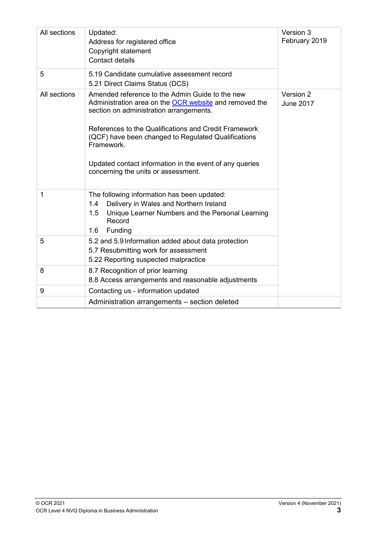| All sections | Updated:<br>Address for registered office<br>Copyright statement<br><b>Contact details</b>                                                                                                                                                                                                                                                                                           | Version 3<br>February 2019    |
|--------------|--------------------------------------------------------------------------------------------------------------------------------------------------------------------------------------------------------------------------------------------------------------------------------------------------------------------------------------------------------------------------------------|-------------------------------|
| 5            | 5.19 Candidate cumulative assessment record<br>5.21 Direct Claims Status (DCS)                                                                                                                                                                                                                                                                                                       |                               |
| All sections | Amended reference to the Admin Guide to the new<br>Administration area on the OCR website and removed the<br>section on administration arrangements.<br>References to the Qualifications and Credit Framework<br>(QCF) have been changed to Regulated Qualifications<br>Framework.<br>Updated contact information in the event of any queries<br>concerning the units or assessment. | Version 2<br><b>June 2017</b> |
| 1            | The following information has been updated:<br>Delivery in Wales and Northern Ireland<br>1.4<br>1.5<br>Unique Learner Numbers and the Personal Learning<br>Record<br>Funding<br>1.6                                                                                                                                                                                                  |                               |
| 5            | 5.2 and 5.9 Information added about data protection<br>5.7 Resubmitting work for assessment<br>5.22 Reporting suspected malpractice                                                                                                                                                                                                                                                  |                               |
| 8            | 8.7 Recognition of prior learning<br>8.8 Access arrangements and reasonable adjustments                                                                                                                                                                                                                                                                                              |                               |
| 9            | Contacting us - information updated                                                                                                                                                                                                                                                                                                                                                  |                               |
|              | Administration arrangements - section deleted                                                                                                                                                                                                                                                                                                                                        |                               |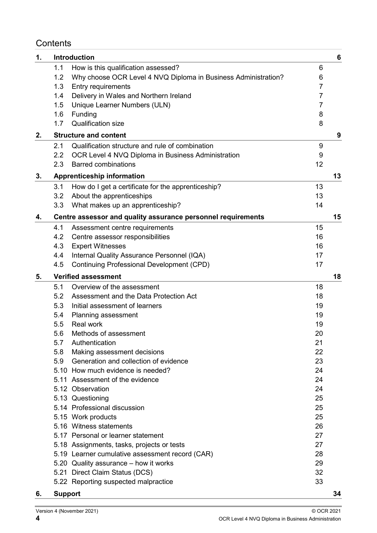#### **Contents**

| 1. |                | <b>Introduction</b>                                            |                | $6\phantom{1}6$ |
|----|----------------|----------------------------------------------------------------|----------------|-----------------|
|    | 1.1            | How is this qualification assessed?                            | 6              |                 |
|    | 1.2            | Why choose OCR Level 4 NVQ Diploma in Business Administration? | 6              |                 |
|    | 1.3            | Entry requirements                                             | $\overline{7}$ |                 |
|    | 1.4            | Delivery in Wales and Northern Ireland                         | $\overline{7}$ |                 |
|    | 1.5            | Unique Learner Numbers (ULN)                                   | $\overline{7}$ |                 |
|    | 1.6            | Funding                                                        | 8              |                 |
|    | 1.7            | <b>Qualification size</b>                                      | 8              |                 |
| 2. |                | <b>Structure and content</b>                                   |                | 9               |
|    | 2.1            | Qualification structure and rule of combination                | 9              |                 |
|    | 2.2            | OCR Level 4 NVQ Diploma in Business Administration             | 9              |                 |
|    | 2.3            | <b>Barred combinations</b>                                     | 12             |                 |
| 3. |                | <b>Apprenticeship information</b>                              |                | 13              |
|    | 3.1            | How do I get a certificate for the apprenticeship?             | 13             |                 |
|    | 3.2            | About the apprenticeships                                      | 13             |                 |
|    | 3.3            | What makes up an apprenticeship?                               | 14             |                 |
| 4. |                | Centre assessor and quality assurance personnel requirements   |                | 15              |
|    | 4.1            | Assessment centre requirements                                 | 15             |                 |
|    | 4.2            | Centre assessor responsibilities                               | 16             |                 |
|    | 4.3            | <b>Expert Witnesses</b>                                        | 16             |                 |
|    | 4.4            | Internal Quality Assurance Personnel (IQA)                     | 17             |                 |
|    | 4.5            | <b>Continuing Professional Development (CPD)</b>               | 17             |                 |
| 5. |                | <b>Verified assessment</b>                                     |                | 18              |
|    | 5.1            | Overview of the assessment                                     | 18             |                 |
|    | 5.2            | Assessment and the Data Protection Act                         | 18             |                 |
|    | 5.3            | Initial assessment of learners                                 | 19             |                 |
|    | 5.4            | Planning assessment                                            | 19             |                 |
|    | 5.5            | <b>Real work</b>                                               | 19             |                 |
|    | 5.6            | Methods of assessment                                          | 20             |                 |
|    | 5.7            | Authentication                                                 | 21             |                 |
|    | 5.8            | Making assessment decisions                                    | 22             |                 |
|    |                | 5.9 Generation and collection of evidence                      | 23             |                 |
|    |                | 5.10 How much evidence is needed?                              | 24             |                 |
|    |                | 5.11 Assessment of the evidence                                | 24             |                 |
|    |                | 5.12 Observation                                               | 24             |                 |
|    |                | 5.13 Questioning                                               | 25             |                 |
|    |                | 5.14 Professional discussion                                   | 25             |                 |
|    |                | 5.15 Work products                                             | 25             |                 |
|    |                | 5.16 Witness statements                                        | 26             |                 |
|    |                | 5.17 Personal or learner statement                             | 27             |                 |
|    |                | 5.18 Assignments, tasks, projects or tests                     | 27             |                 |
|    |                | 5.19 Learner cumulative assessment record (CAR)                | 28             |                 |
|    |                | 5.20 Quality assurance - how it works                          | 29             |                 |
|    |                | 5.21 Direct Claim Status (DCS)                                 | 32             |                 |
|    |                | 5.22 Reporting suspected malpractice                           | 33             |                 |
| 6. | <b>Support</b> |                                                                |                | 34              |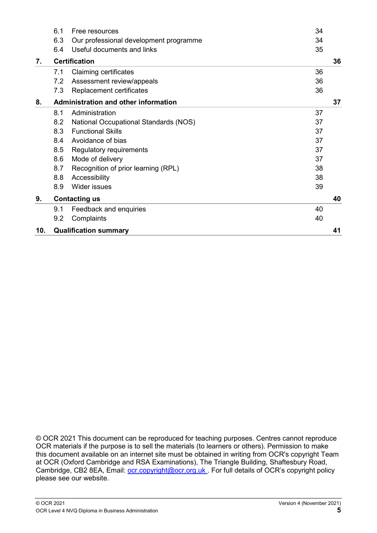|                            | 6.1 | Free resources                               | 34 |    |
|----------------------------|-----|----------------------------------------------|----|----|
|                            | 6.3 | Our professional development programme       | 34 |    |
|                            | 6.4 | Useful documents and links                   | 35 |    |
| <b>Certification</b><br>7. |     |                                              |    | 36 |
|                            | 7.1 | <b>Claiming certificates</b>                 | 36 |    |
|                            | 7.2 | Assessment review/appeals                    | 36 |    |
|                            | 7.3 | Replacement certificates                     | 36 |    |
| 8.                         |     | Administration and other information         |    | 37 |
|                            | 8.1 | Administration                               | 37 |    |
|                            | 8.2 | <b>National Occupational Standards (NOS)</b> | 37 |    |
|                            | 8.3 | <b>Functional Skills</b>                     | 37 |    |
|                            | 8.4 | Avoidance of bias                            | 37 |    |
|                            | 8.5 | Regulatory requirements                      | 37 |    |
|                            | 8.6 | Mode of delivery                             | 37 |    |
|                            | 8.7 | Recognition of prior learning (RPL)          | 38 |    |
|                            | 8.8 | Accessibility                                | 38 |    |
|                            | 8.9 | Wider issues                                 | 39 |    |
| 9.                         |     | <b>Contacting us</b>                         |    | 40 |
|                            | 9.1 | Feedback and enquiries                       | 40 |    |
|                            | 9.2 | Complaints                                   | 40 |    |
| 10.                        |     | <b>Qualification summary</b>                 |    | 41 |

© OCR 2021 This document can be reproduced for teaching purposes. Centres cannot reproduce OCR materials if the purpose is to sell the materials (to learners or others). Permission to make this document available on an internet site must be obtained in writing from OCR's copyright Team at OCR (Oxford Cambridge and RSA Examinations), The Triangle Building, Shaftesbury Road, Cambridge, CB2 8EA, Email: [ocr.copyright@ocr.org.uk .](mailto:ocr.copyright@ocr.org.uk) For full details of OCR's copyright policy please see our website.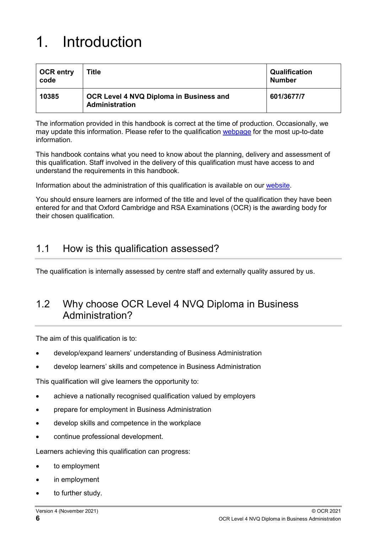# <span id="page-5-0"></span>1. Introduction

| <b>OCR entry</b><br>code | Title                                                            | <b>Qualification</b><br><b>Number</b> |
|--------------------------|------------------------------------------------------------------|---------------------------------------|
| 10385                    | OCR Level 4 NVQ Diploma in Business and<br><b>Administration</b> | 601/3677/7                            |

The information provided in this handbook is correct at the time of production. Occasionally, we may update this information. Please refer to the qualification [webpage](https://www.ocr.org.uk/qualifications/vocational-qualifications-certification-only/vocational-qualifications-qcf-business-administration-level-4-diploma-nvq-10385-from-2014/) for the most up-to-date information.

This handbook contains what you need to know about the planning, delivery and assessment of this qualification. Staff involved in the delivery of this qualification must have access to and understand the requirements in this handbook.

Information about the administration of this qualification is available on our [website.](https://www.ocr.org.uk/administration/)

<span id="page-5-1"></span>You should ensure learners are informed of the title and level of the qualification they have been entered for and that Oxford Cambridge and RSA Examinations (OCR) is the awarding body for their chosen qualification.

#### 1.1 How is this qualification assessed?

<span id="page-5-2"></span>The qualification is internally assessed by centre staff and externally quality assured by us.

### 1.2 Why choose OCR Level 4 NVQ Diploma in Business Administration?

The aim of this qualification is to:

- develop/expand learners' understanding of Business Administration
- develop learners' skills and competence in Business Administration

This qualification will give learners the opportunity to:

- achieve a nationally recognised qualification valued by employers
- prepare for employment in Business Administration
- develop skills and competence in the workplace
- continue professional development.

Learners achieving this qualification can progress:

- to employment
- in employment
- to further study.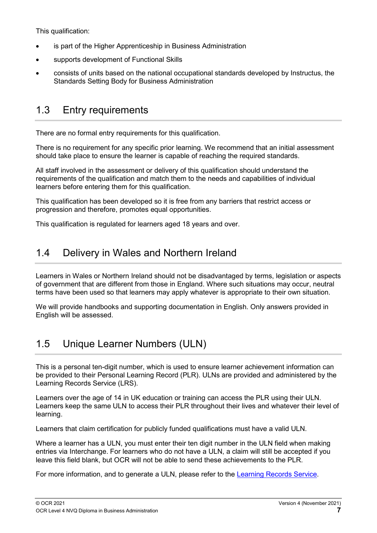This qualification:

- is part of the Higher Apprenticeship in Business Administration
- supports development of Functional Skills
- consists of units based on the national occupational standards developed by Instructus, the Standards Setting Body for Business Administration

## <span id="page-6-0"></span>1.3 Entry requirements

There are no formal entry requirements for this qualification.

There is no requirement for any specific prior learning. We recommend that an initial assessment should take place to ensure the learner is capable of reaching the required standards.

All staff involved in the assessment or delivery of this qualification should understand the requirements of the qualification and match them to the needs and capabilities of individual learners before entering them for this qualification.

This qualification has been developed so it is free from any barriers that restrict access or progression and therefore, promotes equal opportunities.

This qualification is regulated for learners aged 18 years and over.

## <span id="page-6-1"></span>1.4 Delivery in Wales and Northern Ireland

Learners in Wales or Northern Ireland should not be disadvantaged by terms, legislation or aspects of government that are different from those in England. Where such situations may occur, neutral terms have been used so that learners may apply whatever is appropriate to their own situation.

We will provide handbooks and supporting documentation in English. Only answers provided in English will be assessed.

## <span id="page-6-2"></span>1.5 Unique Learner Numbers (ULN)

This is a personal ten-digit number, which is used to ensure learner achievement information can be provided to their Personal Learning Record (PLR). ULNs are provided and administered by the Learning Records Service (LRS).

Learners over the age of 14 in UK education or training can access the PLR using their ULN. Learners keep the same ULN to access their PLR throughout their lives and whatever their level of learning.

Learners that claim certification for publicly funded qualifications must have a valid ULN.

Where a learner has a ULN, you must enter their ten digit number in the ULN field when making entries via Interchange. For learners who do not have a ULN, a claim will still be accepted if you leave this field blank, but OCR will not be able to send these achievements to the PLR.

For more information, and to generate a ULN, please refer to the [Learning Records Service.](https://www.gov.uk/guidance/how-to-access-your-personal-learning-record)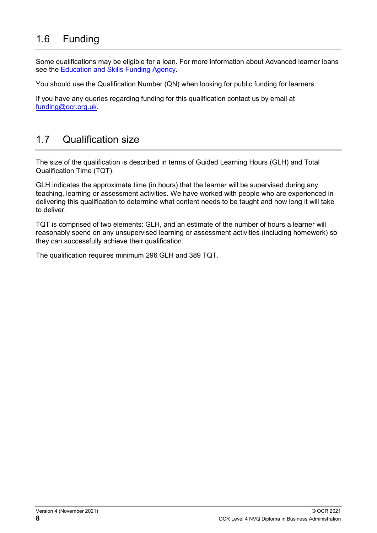## <span id="page-7-0"></span>1.6 Funding

Some qualifications may be eligible for a loan. For more information about Advanced learner loans see the [Education and Skills Funding Agency.](https://www.gov.uk/government/publications/advanced-learner-loans-qualifications-catalogue)

You should use the Qualification Number (QN) when looking for public funding for learners.

If you have any queries regarding funding for this qualification contact us by email at [funding@ocr.org.uk.](mailto:funding@ocr.org.uk)

## <span id="page-7-1"></span>1.7 Qualification size

The size of the qualification is described in terms of Guided Learning Hours (GLH) and Total Qualification Time (TQT).

GLH indicates the approximate time (in hours) that the learner will be supervised during any teaching, learning or assessment activities. We have worked with people who are experienced in delivering this qualification to determine what content needs to be taught and how long it will take to deliver.

TQT is comprised of two elements: GLH, and an estimate of the number of hours a learner will reasonably spend on any unsupervised learning or assessment activities (including homework) so they can successfully achieve their qualification.

The qualification requires minimum 296 GLH and 389 TQT.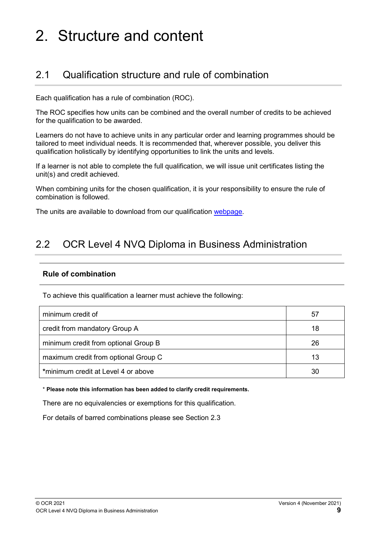# <span id="page-8-0"></span>2. Structure and content

## <span id="page-8-1"></span>2.1 Qualification structure and rule of combination

Each qualification has a rule of combination (ROC).

The ROC specifies how units can be combined and the overall number of credits to be achieved for the qualification to be awarded.

Learners do not have to achieve units in any particular order and learning programmes should be tailored to meet individual needs. It is recommended that, wherever possible, you deliver this qualification holistically by identifying opportunities to link the units and levels.

If a learner is not able to complete the full qualification, we will issue unit certificates listing the unit(s) and credit achieved.

When combining units for the chosen qualification, it is your responsibility to ensure the rule of combination is followed.

<span id="page-8-3"></span><span id="page-8-2"></span>The units are available to download from our qualification [webpage.](http://www.ocr.org.uk/qualifications/vocational-qualifications-qcf-business-administration-level-4-diploma-nvq-10385-from-2014/)

### 2.2 OCR Level 4 NVQ Diploma in Business Administration

#### **Rule of combination**

To achieve this qualification a learner must achieve the following:

| minimum credit of                    | 57 |
|--------------------------------------|----|
| credit from mandatory Group A        | 18 |
| minimum credit from optional Group B | 26 |
| maximum credit from optional Group C | 13 |
| *minimum credit at Level 4 or above  | 30 |

\* **Please note this information has been added to clarify credit requirements.**

There are no equivalencies or exemptions for this qualification.

For details of barred combinations please see Section 2.3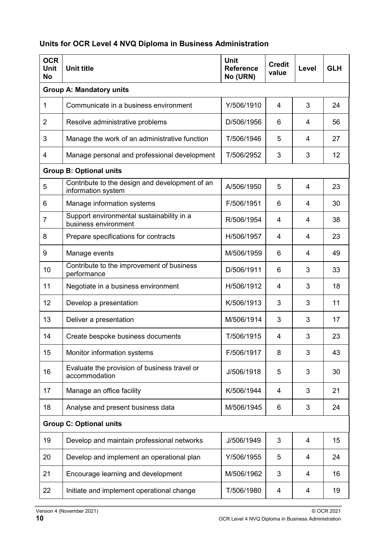#### **Units for OCR Level 4 NVQ Diploma in Business Administration**

| <b>OCR</b><br><b>Unit</b><br><b>No</b> | Unit<br><b>Reference</b><br><b>Unit title</b><br>No (URN)              |            | <b>Credit</b><br>value | Level | <b>GLH</b> |
|----------------------------------------|------------------------------------------------------------------------|------------|------------------------|-------|------------|
|                                        | <b>Group A: Mandatory units</b>                                        |            |                        |       |            |
| 1                                      | Communicate in a business environment                                  | Y/506/1910 | 4                      | 3     | 24         |
| $\overline{2}$                         | Resolve administrative problems                                        | D/506/1956 | 6                      | 4     | 56         |
| 3                                      | Manage the work of an administrative function                          | T/506/1946 | 5                      | 4     | 27         |
| 4                                      | Manage personal and professional development                           | T/506/2952 | 3                      | 3     | 12         |
|                                        | <b>Group B: Optional units</b>                                         |            |                        |       |            |
| 5                                      | Contribute to the design and development of an<br>information system   | A/506/1950 | 5                      | 4     | 23         |
| 6                                      | Manage information systems                                             | F/506/1951 | 6                      | 4     | 30         |
| $\overline{7}$                         | Support environmental sustainability in a<br>business environment      | R/506/1954 | 4                      | 4     | 38         |
| 8                                      | Prepare specifications for contracts                                   | H/506/1957 | 4                      | 4     | 23         |
| 9                                      | Manage events<br>M/506/1959                                            |            | 6                      | 4     | 49         |
| 10                                     | Contribute to the improvement of business<br>D/506/1911<br>performance |            | 6                      | 3     | 33         |
| 11                                     | Negotiate in a business environment                                    | H/506/1912 | 4                      | 3     | 18         |
| 12                                     | Develop a presentation                                                 | K/506/1913 | 3                      | 3     | 11         |
| 13                                     | Deliver a presentation                                                 | M/506/1914 | 3                      | 3     | 17         |
| 14                                     | Create bespoke business documents                                      | T/506/1915 | 4                      | 3     | 23         |
| 15                                     | Monitor information systems                                            | F/506/1917 | 8                      | 3     | 43         |
| 16                                     | Evaluate the provision of business travel or<br>accommodation          | J/506/1918 | 5                      | 3     | 30         |
| 17                                     | Manage an office facility                                              | K/506/1944 | 4                      | 3     | 21         |
| 18                                     | Analyse and present business data                                      | M/506/1945 | 6                      | 3     | 24         |
| <b>Group C: Optional units</b>         |                                                                        |            |                        |       |            |
| 19                                     | Develop and maintain professional networks                             | J/506/1949 | 3                      | 4     | 15         |
| 20                                     | Develop and implement an operational plan                              | Y/506/1955 | 5                      | 4     | 24         |
| 21                                     | Encourage learning and development                                     | M/506/1962 | 3                      | 4     | 16         |
| 22                                     | Initiate and implement operational change                              | T/506/1980 | 4                      | 4     | 19         |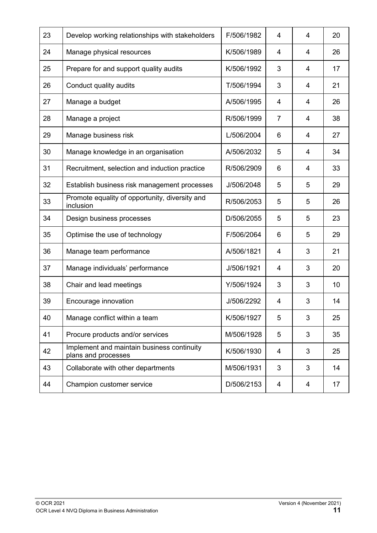| 23 | Develop working relationships with stakeholders                   | F/506/1982 | 4              | 4              | 20 |
|----|-------------------------------------------------------------------|------------|----------------|----------------|----|
| 24 | Manage physical resources                                         | K/506/1989 | $\overline{4}$ | $\overline{4}$ | 26 |
| 25 | Prepare for and support quality audits                            | K/506/1992 | 3              | $\overline{4}$ | 17 |
| 26 | Conduct quality audits                                            | T/506/1994 | 3              | $\overline{4}$ | 21 |
| 27 | Manage a budget                                                   | A/506/1995 | $\overline{4}$ | 4              | 26 |
| 28 | Manage a project                                                  | R/506/1999 | $\overline{7}$ | 4              | 38 |
| 29 | Manage business risk                                              | L/506/2004 | 6              | 4              | 27 |
| 30 | Manage knowledge in an organisation                               | A/506/2032 | 5              | $\overline{4}$ | 34 |
| 31 | Recruitment, selection and induction practice                     | R/506/2909 | 6              | 4              | 33 |
| 32 | Establish business risk management processes                      | J/506/2048 | 5              | 5              | 29 |
| 33 | Promote equality of opportunity, diversity and<br>inclusion       | R/506/2053 | 5              | 5              | 26 |
| 34 | Design business processes                                         | D/506/2055 | 5              | 5              | 23 |
| 35 | Optimise the use of technology                                    | F/506/2064 | 6              | 5              | 29 |
| 36 | Manage team performance                                           | A/506/1821 | 4              | 3              | 21 |
| 37 | Manage individuals' performance                                   | J/506/1921 | 4              | 3              | 20 |
| 38 | Chair and lead meetings                                           | Y/506/1924 | 3              | 3              | 10 |
| 39 | Encourage innovation                                              | J/506/2292 | 4              | 3              | 14 |
| 40 | Manage conflict within a team                                     | K/506/1927 | 5              | 3              | 25 |
| 41 | Procure products and/or services                                  | M/506/1928 | 5              | 3              | 35 |
| 42 | Implement and maintain business continuity<br>plans and processes | K/506/1930 | 4              | 3              | 25 |
| 43 | Collaborate with other departments                                | M/506/1931 | 3              | 3              | 14 |
| 44 | Champion customer service                                         | D/506/2153 | 4              | 4              | 17 |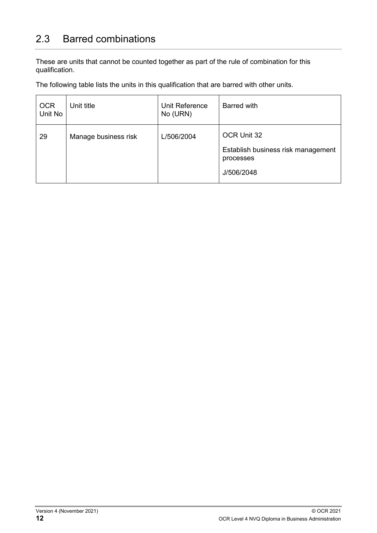## <span id="page-11-0"></span>2.3 Barred combinations

These are units that cannot be counted together as part of the rule of combination for this qualification.

The following table lists the units in this qualification that are barred with other units.

| <b>OCR</b><br>Unit No | Unit title           | Unit Reference<br>No (URN) | Barred with                                     |
|-----------------------|----------------------|----------------------------|-------------------------------------------------|
| 29                    | Manage business risk | L/506/2004                 | OCR Unit 32                                     |
|                       |                      |                            | Establish business risk management<br>processes |
|                       |                      |                            | J/506/2048                                      |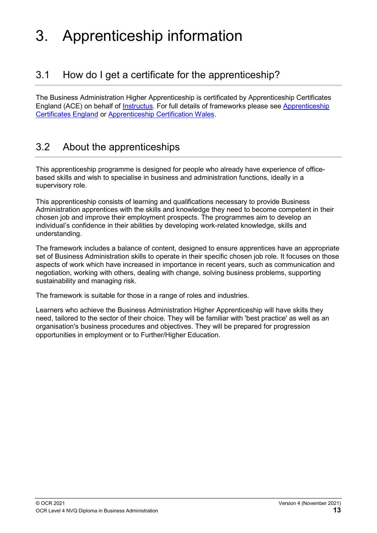# <span id="page-12-0"></span>3. Apprenticeship information

## <span id="page-12-1"></span>3.1 How do I get a certificate for the apprenticeship?

The Business Administration Higher Apprenticeship is certificated by Apprenticeship Certificates England (ACE) on behalf of [Instructus.](https://www.instructus-skills.org/) For full details of frameworks please see [Apprenticeship](https://acecerts.co.uk/web/)  [Certificates England](https://acecerts.co.uk/web/) or [Apprenticeship Certification Wales.](https://acwcerts.co.uk/web/)

## <span id="page-12-2"></span>3.2 About the apprenticeships

This apprenticeship programme is designed for people who already have experience of officebased skills and wish to specialise in business and administration functions, ideally in a supervisory role.

This apprenticeship consists of learning and qualifications necessary to provide Business Administration apprentices with the skills and knowledge they need to become competent in their chosen job and improve their employment prospects. The programmes aim to develop an individual's confidence in their abilities by developing work-related knowledge, skills and understanding.

The framework includes a balance of content, designed to ensure apprentices have an appropriate set of Business Administration skills to operate in their specific chosen job role. It focuses on those aspects of work which have increased in importance in recent years, such as communication and negotiation, working with others, dealing with change, solving business problems, supporting sustainability and managing risk.

The framework is suitable for those in a range of roles and industries.

Learners who achieve the Business Administration Higher Apprenticeship will have skills they need, tailored to the sector of their choice. They will be familiar with 'best practice' as well as an organisation's business procedures and objectives. They will be prepared for progression opportunities in employment or to Further/Higher Education.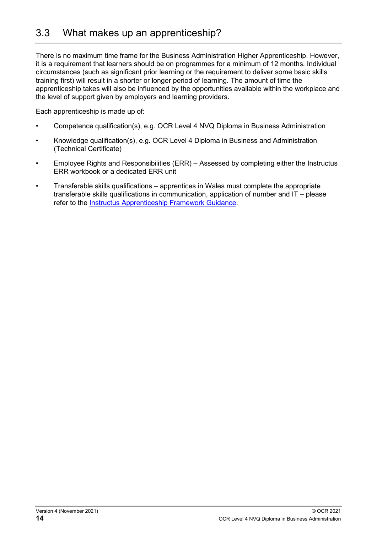<span id="page-13-0"></span>There is no maximum time frame for the Business Administration Higher Apprenticeship. However, it is a requirement that learners should be on programmes for a minimum of 12 months. Individual circumstances (such as significant prior learning or the requirement to deliver some basic skills training first) will result in a shorter or longer period of learning. The amount of time the apprenticeship takes will also be influenced by the opportunities available within the workplace and the level of support given by employers and learning providers.

Each apprenticeship is made up of:

- Competence qualification(s), e.g. OCR Level 4 NVQ Diploma in Business Administration
- Knowledge qualification(s), e.g. OCR Level 4 Diploma in Business and Administration (Technical Certificate)
- Employee Rights and Responsibilities (ERR) Assessed by completing either the Instructus ERR workbook or a dedicated ERR unit
- Transferable skills qualifications apprentices in Wales must complete the appropriate transferable skills qualifications in communication, application of number and IT – please refer to the [Instructus Apprenticeship Framework Guidance.](https://www.instructus-skills.org/apprenticeship-frameworks/)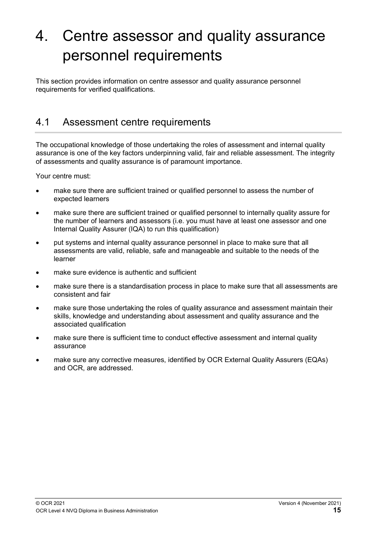# <span id="page-14-0"></span>4. Centre assessor and quality assurance personnel requirements

This section provides information on centre assessor and quality assurance personnel requirements for verified qualifications.

### <span id="page-14-1"></span>4.1 Assessment centre requirements

The occupational knowledge of those undertaking the roles of assessment and internal quality assurance is one of the key factors underpinning valid, fair and reliable assessment. The integrity of assessments and quality assurance is of paramount importance.

Your centre must:

- make sure there are sufficient trained or qualified personnel to assess the number of expected learners
- make sure there are sufficient trained or qualified personnel to internally quality assure for the number of learners and assessors (i.e. you must have at least one assessor and one Internal Quality Assurer (IQA) to run this qualification)
- put systems and internal quality assurance personnel in place to make sure that all assessments are valid, reliable, safe and manageable and suitable to the needs of the learner
- make sure evidence is authentic and sufficient
- make sure there is a standardisation process in place to make sure that all assessments are consistent and fair
- make sure those undertaking the roles of quality assurance and assessment maintain their skills, knowledge and understanding about assessment and quality assurance and the associated qualification
- make sure there is sufficient time to conduct effective assessment and internal quality assurance
- make sure any corrective measures, identified by OCR External Quality Assurers (EQAs) and OCR, are addressed.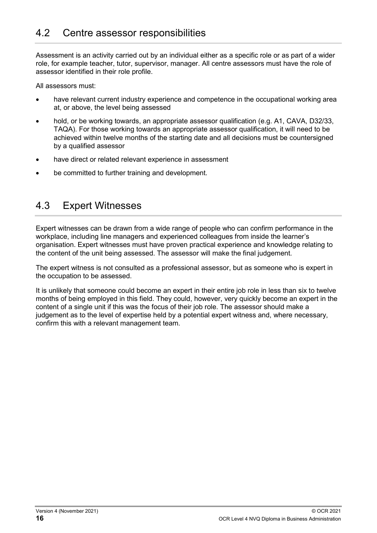<span id="page-15-0"></span>Assessment is an activity carried out by an individual either as a specific role or as part of a wider role, for example teacher, tutor, supervisor, manager. All centre assessors must have the role of assessor identified in their role profile.

All assessors must:

- have relevant current industry experience and competence in the occupational working area at, or above, the level being assessed
- hold, or be working towards, an appropriate assessor qualification (e.g. A1, CAVA, D32/33, TAQA). For those working towards an appropriate assessor qualification, it will need to be achieved within twelve months of the starting date and all decisions must be countersigned by a qualified assessor
- have direct or related relevant experience in assessment
- <span id="page-15-1"></span>be committed to further training and development.

### 4.3 Expert Witnesses

Expert witnesses can be drawn from a wide range of people who can confirm performance in the workplace, including line managers and experienced colleagues from inside the learner's organisation. Expert witnesses must have proven practical experience and knowledge relating to the content of the unit being assessed. The assessor will make the final judgement.

The expert witness is not consulted as a professional assessor, but as someone who is expert in the occupation to be assessed.

It is unlikely that someone could become an expert in their entire job role in less than six to twelve months of being employed in this field. They could, however, very quickly become an expert in the content of a single unit if this was the focus of their job role. The assessor should make a judgement as to the level of expertise held by a potential expert witness and, where necessary, confirm this with a relevant management team.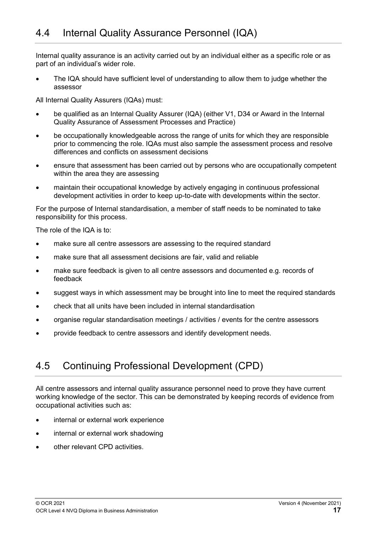<span id="page-16-2"></span><span id="page-16-0"></span>Internal quality assurance is an activity carried out by an individual either as a specific role or as part of an individual's wider role.

The IQA should have sufficient level of understanding to allow them to judge whether the assessor

All Internal Quality Assurers (IQAs) must:

- be qualified as an Internal Quality Assurer (IQA) (either V1, D34 or Award in the Internal Quality Assurance of Assessment Processes and Practice)
- be occupationally knowledgeable across the range of units for which they are responsible prior to commencing the role. IQAs must also sample the assessment process and resolve differences and conflicts on assessment decisions
- ensure that assessment has been carried out by persons who are occupationally competent within the area they are assessing
- maintain their occupational knowledge by actively engaging in continuous professional development activities in order to keep up-to-date with developments within the sector.

For the purpose of Internal standardisation, a member of staff needs to be nominated to take responsibility for this process.

The role of the IQA is to:

- make sure all centre assessors are assessing to the required standard
- make sure that all assessment decisions are fair, valid and reliable
- make sure feedback is given to all centre assessors and documented e.g. records of feedback
- suggest ways in which assessment may be brought into line to meet the required standards
- check that all units have been included in internal standardisation
- organise regular standardisation meetings / activities / events for the centre assessors
- <span id="page-16-1"></span>• provide feedback to centre assessors and identify development needs.

### 4.5 Continuing Professional Development (CPD)

All centre assessors and internal quality assurance personnel need to prove they have current working knowledge of the sector. This can be demonstrated by keeping records of evidence from occupational activities such as:

- internal or external work experience
- internal or external work shadowing
- other relevant CPD activities.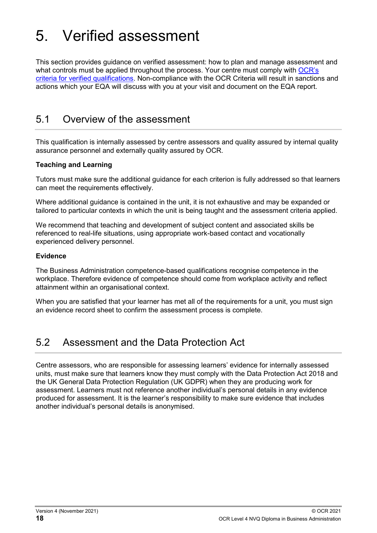# <span id="page-17-0"></span>5. Verified assessment

This section provides guidance on verified assessment: how to plan and manage assessment and what controls must be applied throughout the process. Your centre must comply with [OCR's](https://www.ocr.org.uk/Images/15895-ocr-criteria-for-verified-qualifications.pdf)  [criteria for verified qualifications.](https://www.ocr.org.uk/Images/15895-ocr-criteria-for-verified-qualifications.pdf) Non-compliance with the OCR Criteria will result in sanctions and actions which your EQA will discuss with you at your visit and document on the EQA report.

#### <span id="page-17-1"></span>5.1 Overview of the assessment

This qualification is internally assessed by centre assessors and quality assured by internal quality assurance personnel and externally quality assured by OCR.

#### **Teaching and Learning**

Tutors must make sure the additional guidance for each criterion is fully addressed so that learners can meet the requirements effectively.

Where additional guidance is contained in the unit, it is not exhaustive and may be expanded or tailored to particular contexts in which the unit is being taught and the assessment criteria applied.

We recommend that teaching and development of subject content and associated skills be referenced to real-life situations, using appropriate work-based contact and vocationally experienced delivery personnel.

#### **Evidence**

The Business Administration competence-based qualifications recognise competence in the workplace. Therefore evidence of competence should come from workplace activity and reflect attainment within an organisational context.

When you are satisfied that your learner has met all of the requirements for a unit, you must sign an evidence record sheet to confirm the assessment process is complete.

### <span id="page-17-2"></span>5.2 Assessment and the Data Protection Act

Centre assessors, who are responsible for assessing learners' evidence for internally assessed units, must make sure that learners know they must comply with the Data Protection Act 2018 and the UK General Data Protection Regulation (UK GDPR) when they are producing work for assessment. Learners must not reference another individual's personal details in any evidence produced for assessment. It is the learner's responsibility to make sure evidence that includes another individual's personal details is anonymised.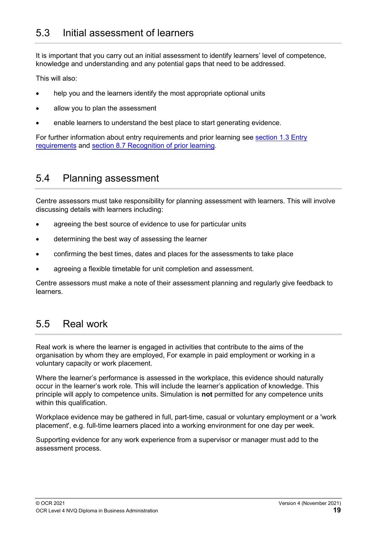<span id="page-18-0"></span>It is important that you carry out an initial assessment to identify learners' level of competence, knowledge and understanding and any potential gaps that need to be addressed.

This will also:

- help you and the learners identify the most appropriate optional units
- allow you to plan the assessment
- enable learners to understand the best place to start generating evidence.

For further information about entry requirements and prior learning see [section 1.3 Entry](#page-6-0)  [requirements](#page-6-0) and section 8.7 [Recognition of prior learning.](#page-37-0)

#### <span id="page-18-1"></span>5.4 Planning assessment

Centre assessors must take responsibility for planning assessment with learners. This will involve discussing details with learners including:

- agreeing the best source of evidence to use for particular units
- determining the best way of assessing the learner
- confirming the best times, dates and places for the assessments to take place
- agreeing a flexible timetable for unit completion and assessment.

Centre assessors must make a note of their assessment planning and regularly give feedback to **learners** 

### <span id="page-18-2"></span>5.5 Real work

Real work is where the learner is engaged in activities that contribute to the aims of the organisation by whom they are employed, For example in paid employment or working in a voluntary capacity or work placement.

Where the learner's performance is assessed in the workplace, this evidence should naturally occur in the learner's work role. This will include the learner's application of knowledge. This principle will apply to competence units. Simulation is **not** permitted for any competence units within this qualification.

Workplace evidence may be gathered in full, part-time, casual or voluntary employment or a 'work placement', e.g. full-time learners placed into a working environment for one day per week.

Supporting evidence for any work experience from a supervisor or manager must add to the assessment process.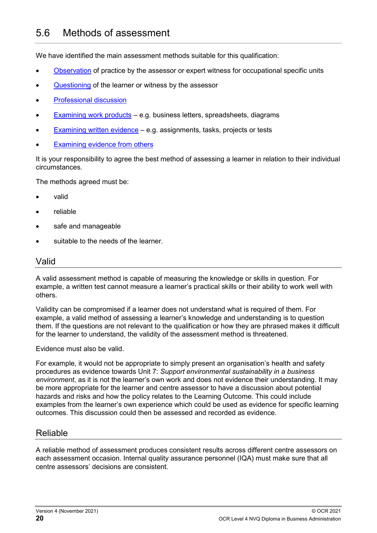<span id="page-19-0"></span>We have identified the main assessment methods suitable for this qualification:

- [Observation](#page-23-2) of practice by the assessor or expert witness for occupational specific units
- [Questioning](#page-24-0) of the learner or witness by the assessor
- **[Professional discussion](#page-24-3)**
- [Examining work products](#page-24-2) e.g. business letters, spreadsheets, diagrams
- [Examining written evidence](#page-26-2) e.g. assignments, tasks, projects or tests
- [Examining evidence from others](#page-25-0)

It is your responsibility to agree the best method of assessing a learner in relation to their individual circumstances.

The methods agreed must be:

- valid
- reliable
- safe and manageable
- suitable to the needs of the learner.

#### Valid

A valid assessment method is capable of measuring the knowledge or skills in question. For example, a written test cannot measure a learner's practical skills or their ability to work well with others.

Validity can be compromised if a learner does not understand what is required of them. For example, a valid method of assessing a learner's knowledge and understanding is to question them. If the questions are not relevant to the qualification or how they are phrased makes it difficult for the learner to understand, the validity of the assessment method is threatened.

Evidence must also be valid.

For example, it would not be appropriate to simply present an organisation's health and safety procedures as evidence towards Unit 7: *Support environmental sustainability in a business environment*, as it is not the learner's own work and does not evidence their understanding. It may be more appropriate for the learner and centre assessor to have a discussion about potential hazards and risks and how the policy relates to the Learning Outcome. This could include examples from the learner's own experience which could be used as evidence for specific learning outcomes. This discussion could then be assessed and recorded as evidence.

#### Reliable

A reliable method of assessment produces consistent results across different centre assessors on each assessment occasion. Internal quality assurance personnel (IQA) must make sure that all centre assessors' decisions are consistent.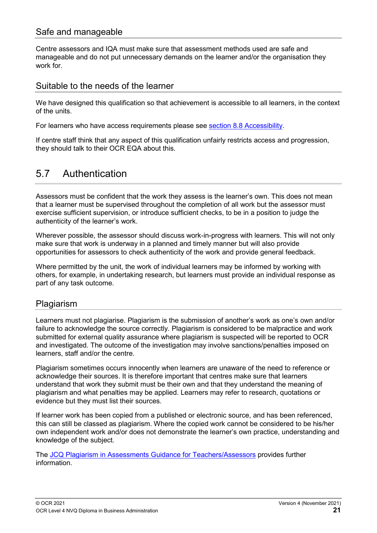#### Safe and manageable

Centre assessors and IQA must make sure that assessment methods used are safe and manageable and do not put unnecessary demands on the learner and/or the organisation they work for.

#### Suitable to the needs of the learner

We have designed this qualification so that achievement is accessible to all learners, in the context of the units.

For learners who have access requirements please see section 8.8 [Accessibility.](#page-37-1)

If centre staff think that any aspect of this qualification unfairly restricts access and progression, they should talk to their OCR EQA about this.

#### <span id="page-20-0"></span>5.7 Authentication

Assessors must be confident that the work they assess is the learner's own. This does not mean that a learner must be supervised throughout the completion of all work but the assessor must exercise sufficient supervision, or introduce sufficient checks, to be in a position to judge the authenticity of the learner's work.

Wherever possible, the assessor should discuss work-in-progress with learners. This will not only make sure that work is underway in a planned and timely manner but will also provide opportunities for assessors to check authenticity of the work and provide general feedback.

Where permitted by the unit, the work of individual learners may be informed by working with others, for example, in undertaking research, but learners must provide an individual response as part of any task outcome.

#### Plagiarism

Learners must not plagiarise. Plagiarism is the submission of another's work as one's own and/or failure to acknowledge the source correctly. Plagiarism is considered to be malpractice and work submitted for external quality assurance where plagiarism is suspected will be reported to OCR and investigated. The outcome of the investigation may involve sanctions/penalties imposed on learners, staff and/or the centre.

Plagiarism sometimes occurs innocently when learners are unaware of the need to reference or acknowledge their sources. It is therefore important that centres make sure that learners understand that work they submit must be their own and that they understand the meaning of plagiarism and what penalties may be applied. Learners may refer to research, quotations or evidence but they must list their sources.

If learner work has been copied from a published or electronic source, and has been referenced, this can still be classed as plagiarism. Where the copied work cannot be considered to be his/her own independent work and/or does not demonstrate the learner's own practice, understanding and knowledge of the subject.

The [JCQ Plagiarism in Assessments Guidance for Teachers/Assessors](https://www.jcq.org.uk/exams-office/malpractice/plagiarism-in-assessments---guidance-for-teachersassessors/) provides further information.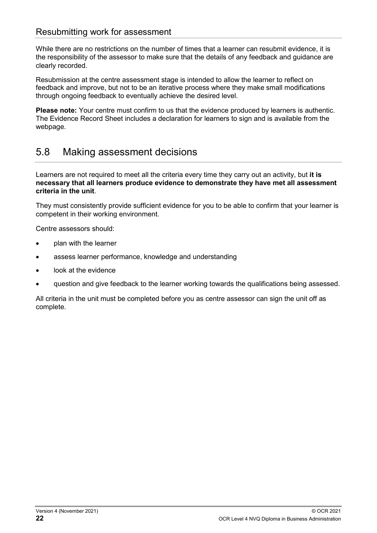#### Resubmitting work for assessment

While there are no restrictions on the number of times that a learner can resubmit evidence, it is the responsibility of the assessor to make sure that the details of any feedback and guidance are clearly recorded.

Resubmission at the centre assessment stage is intended to allow the learner to reflect on feedback and improve, but not to be an iterative process where they make small modifications through ongoing feedback to eventually achieve the desired level.

**Please note:** Your centre must confirm to us that the evidence produced by learners is authentic. The Evidence Record Sheet includes a declaration for learners to sign and is available from the webpage.

### <span id="page-21-0"></span>5.8 Making assessment decisions

Learners are not required to meet all the criteria every time they carry out an activity, but **it is necessary that all learners produce evidence to demonstrate they have met all assessment criteria in the unit**.

They must consistently provide sufficient evidence for you to be able to confirm that your learner is competent in their working environment.

Centre assessors should:

- plan with the learner
- assess learner performance, knowledge and understanding
- look at the evidence
- question and give feedback to the learner working towards the qualifications being assessed.

All criteria in the unit must be completed before you as centre assessor can sign the unit off as complete.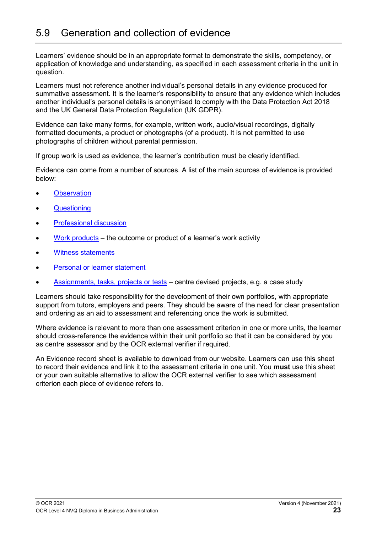<span id="page-22-0"></span>Learners' evidence should be in an appropriate format to demonstrate the skills, competency, or application of knowledge and understanding, as specified in each assessment criteria in the unit in question.

Learners must not reference another individual's personal details in any evidence produced for summative assessment. It is the learner's responsibility to ensure that any evidence which includes another individual's personal details is anonymised to comply with the Data Protection Act 2018 and the UK General Data Protection Regulation (UK GDPR).

Evidence can take many forms, for example, written work, audio/visual recordings, digitally formatted documents, a product or photographs (of a product). It is not permitted to use photographs of children without parental permission.

If group work is used as evidence, the learner's contribution must be clearly identified.

Evidence can come from a number of sources. A list of the main sources of evidence is provided below:

- **[Observation](#page-23-2)**
- **[Questioning](#page-24-0)**
- [Professional discussion](#page-24-3)
- [Work products](#page-24-2) the outcome or product of a learner's work activity
- [Witness statements](#page-25-0)
- [Personal or learner statement](#page-26-0)
- [Assignments, tasks, projects or tests](#page-26-2) centre devised projects, e.g. a case study

Learners should take responsibility for the development of their own portfolios, with appropriate support from tutors, employers and peers. They should be aware of the need for clear presentation and ordering as an aid to assessment and referencing once the work is submitted.

Where evidence is relevant to more than one assessment criterion in one or more units, the learner should cross-reference the evidence within their unit portfolio so that it can be considered by you as centre assessor and by the OCR external verifier if required.

An Evidence record sheet is available to download from our website. Learners can use this sheet to record their evidence and link it to the assessment criteria in one unit. You **must** use this sheet or your own suitable alternative to allow the OCR external verifier to see which assessment criterion each piece of evidence refers to.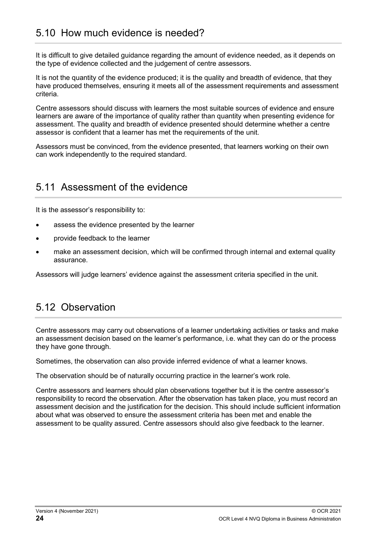## <span id="page-23-0"></span>5.10 How much evidence is needed?

It is difficult to give detailed guidance regarding the amount of evidence needed, as it depends on the type of evidence collected and the judgement of centre assessors.

It is not the quantity of the evidence produced; it is the quality and breadth of evidence, that they have produced themselves, ensuring it meets all of the assessment requirements and assessment criteria.

Centre assessors should discuss with learners the most suitable sources of evidence and ensure learners are aware of the importance of quality rather than quantity when presenting evidence for assessment. The quality and breadth of evidence presented should determine whether a centre assessor is confident that a learner has met the requirements of the unit.

Assessors must be convinced, from the evidence presented, that learners working on their own can work independently to the required standard.

#### <span id="page-23-1"></span>5.11 Assessment of the evidence

It is the assessor's responsibility to:

- assess the evidence presented by the learner
- provide feedback to the learner
- make an assessment decision, which will be confirmed through internal and external quality assurance.

<span id="page-23-2"></span>Assessors will judge learners' evidence against the assessment criteria specified in the unit.

### 5.12 Observation

Centre assessors may carry out observations of a learner undertaking activities or tasks and make an assessment decision based on the learner's performance, i.e. what they can do or the process they have gone through.

Sometimes, the observation can also provide inferred evidence of what a learner knows.

The observation should be of naturally occurring practice in the learner's work role.

Centre assessors and learners should plan observations together but it is the centre assessor's responsibility to record the observation. After the observation has taken place, you must record an assessment decision and the justification for the decision. This should include sufficient information about what was observed to ensure the assessment criteria has been met and enable the assessment to be quality assured. Centre assessors should also give feedback to the learner.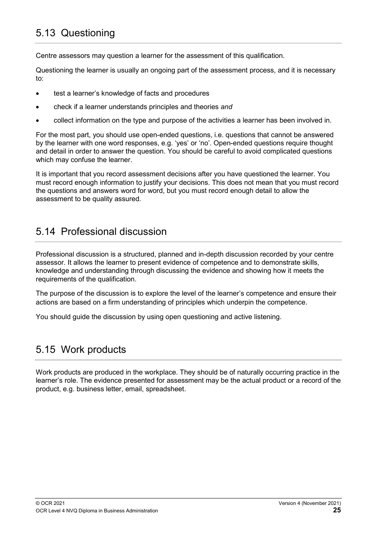<span id="page-24-0"></span>Centre assessors may question a learner for the assessment of this qualification.

Questioning the learner is usually an ongoing part of the assessment process, and it is necessary to:

- test a learner's knowledge of facts and procedures
- check if a learner understands principles and theories *and*
- collect information on the type and purpose of the activities a learner has been involved in.

For the most part, you should use open-ended questions, i.e. questions that cannot be answered by the learner with one word responses, e.g. 'yes' or 'no'. Open-ended questions require thought and detail in order to answer the question. You should be careful to avoid complicated questions which may confuse the learner.

It is important that you record assessment decisions after you have questioned the learner. You must record enough information to justify your decisions. This does not mean that you must record the questions and answers word for word, but you must record enough detail to allow the assessment to be quality assured.

### <span id="page-24-3"></span><span id="page-24-1"></span>5.14 Professional discussion

Professional discussion is a structured, planned and in-depth discussion recorded by your centre assessor. It allows the learner to present evidence of competence and to demonstrate skills, knowledge and understanding through discussing the evidence and showing how it meets the requirements of the qualification.

The purpose of the discussion is to explore the level of the learner's competence and ensure their actions are based on a firm understanding of principles which underpin the competence.

<span id="page-24-2"></span>You should guide the discussion by using open questioning and active listening.

## 5.15 Work products

Work products are produced in the workplace. They should be of naturally occurring practice in the learner's role. The evidence presented for assessment may be the actual product or a record of the product, e.g. business letter, email, spreadsheet.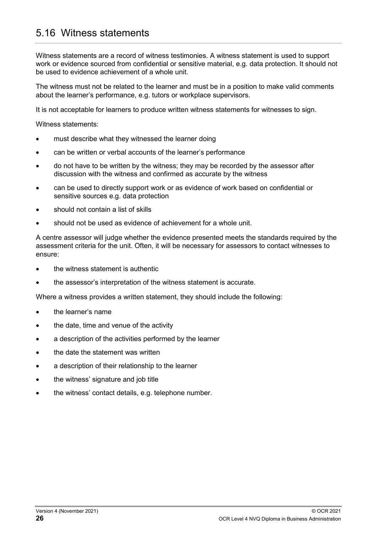### <span id="page-25-0"></span>5.16 Witness statements

Witness statements are a record of witness testimonies. A witness statement is used to support work or evidence sourced from confidential or sensitive material, e.g. data protection. It should not be used to evidence achievement of a whole unit.

The witness must not be related to the learner and must be in a position to make valid comments about the learner's performance, e.g. tutors or workplace supervisors.

It is not acceptable for learners to produce written witness statements for witnesses to sign.

Witness statements:

- must describe what they witnessed the learner doing
- can be written or verbal accounts of the learner's performance
- do not have to be written by the witness; they may be recorded by the assessor after discussion with the witness and confirmed as accurate by the witness
- can be used to directly support work or as evidence of work based on confidential or sensitive sources e.g. data protection
- should not contain a list of skills
- should not be used as evidence of achievement for a whole unit.

A centre assessor will judge whether the evidence presented meets the standards required by the assessment criteria for the unit. Often, it will be necessary for assessors to contact witnesses to ensure:

- the witness statement is authentic
- the assessor's interpretation of the witness statement is accurate.

Where a witness provides a written statement, they should include the following:

- the learner's name
- the date, time and venue of the activity
- a description of the activities performed by the learner
- the date the statement was written
- a description of their relationship to the learner
- the witness' signature and job title
- the witness' contact details, e.g. telephone number.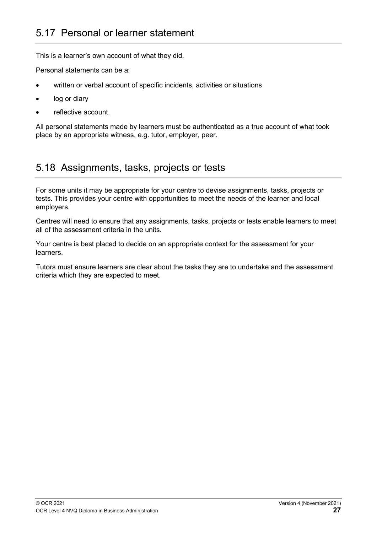<span id="page-26-0"></span>This is a learner's own account of what they did.

Personal statements can be a:

- written or verbal account of specific incidents, activities or situations
- log or diary
- reflective account.

All personal statements made by learners must be authenticated as a true account of what took place by an appropriate witness, e.g. tutor, employer, peer.

#### <span id="page-26-2"></span><span id="page-26-1"></span>5.18 Assignments, tasks, projects or tests

For some units it may be appropriate for your centre to devise assignments, tasks, projects or tests. This provides your centre with opportunities to meet the needs of the learner and local employers.

Centres will need to ensure that any assignments, tasks, projects or tests enable learners to meet all of the assessment criteria in the units.

Your centre is best placed to decide on an appropriate context for the assessment for your learners.

Tutors must ensure learners are clear about the tasks they are to undertake and the assessment criteria which they are expected to meet.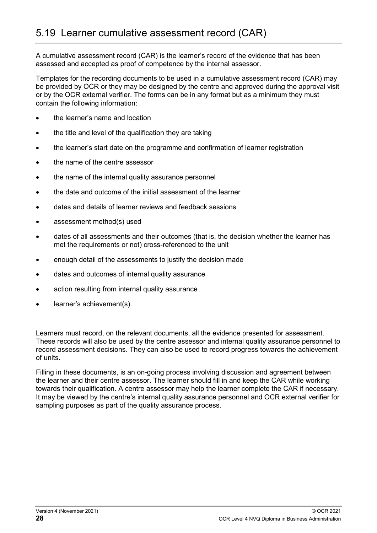<span id="page-27-0"></span>A cumulative assessment record (CAR) is the learner's record of the evidence that has been assessed and accepted as proof of competence by the internal assessor.

Templates for the recording documents to be used in a cumulative assessment record (CAR) may be provided by OCR or they may be designed by the centre and approved during the approval visit or by the OCR external verifier. The forms can be in any format but as a minimum they must contain the following information:

- the learner's name and location
- the title and level of the qualification they are taking
- the learner's start date on the programme and confirmation of learner registration
- the name of the centre assessor
- the name of the internal quality assurance personnel
- the date and outcome of the initial assessment of the learner
- dates and details of learner reviews and feedback sessions
- assessment method(s) used
- dates of all assessments and their outcomes (that is, the decision whether the learner has met the requirements or not) cross-referenced to the unit
- enough detail of the assessments to justify the decision made
- dates and outcomes of internal quality assurance
- action resulting from internal quality assurance
- learner's achievement(s).

Learners must record, on the relevant documents, all the evidence presented for assessment. These records will also be used by the centre assessor and internal quality assurance personnel to record assessment decisions. They can also be used to record progress towards the achievement of units.

Filling in these documents, is an on-going process involving discussion and agreement between the learner and their centre assessor. The learner should fill in and keep the CAR while working towards their qualification. A centre assessor may help the learner complete the CAR if necessary. It may be viewed by the centre's internal quality assurance personnel and OCR external verifier for sampling purposes as part of the quality assurance process.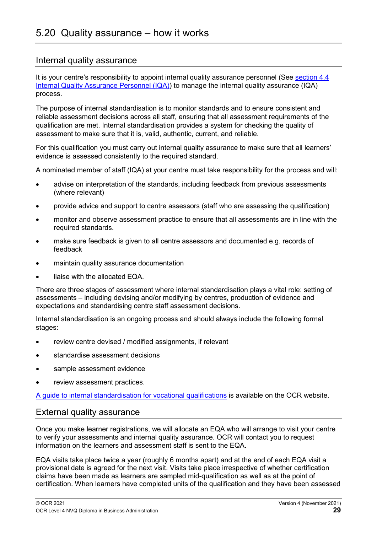#### <span id="page-28-0"></span>Internal quality assurance

It is your centre's responsibility to appoint internal quality assurance personnel (See [section 4.4](#page-16-2) [Internal Quality Assurance Personnel \(IQA\)\)](#page-16-2) to manage the internal quality assurance (IQA) process.

The purpose of internal standardisation is to monitor standards and to ensure consistent and reliable assessment decisions across all staff, ensuring that all assessment requirements of the qualification are met. Internal standardisation provides a system for checking the quality of assessment to make sure that it is, valid, authentic, current, and reliable.

For this qualification you must carry out internal quality assurance to make sure that all learners' evidence is assessed consistently to the required standard.

A nominated member of staff (IQA) at your centre must take responsibility for the process and will:

- advise on interpretation of the standards, including feedback from previous assessments (where relevant)
- provide advice and support to centre assessors (staff who are assessing the qualification)
- monitor and observe assessment practice to ensure that all assessments are in line with the required standards.
- make sure feedback is given to all centre assessors and documented e.g. records of feedback
- maintain quality assurance documentation
- liaise with the allocated EQA.

There are three stages of assessment where internal standardisation plays a vital role: setting of assessments – including devising and/or modifying by centres, production of evidence and expectations and standardising centre staff assessment decisions.

Internal standardisation is an ongoing process and should always include the following formal stages:

- review centre devised / modified assignments, if relevant
- standardise assessment decisions
- sample assessment evidence
- review assessment practices.

[A guide to internal standardisation for vocational qualifications](https://www.ocr.org.uk/Images/286460-internal-standardisation-generic-guide.pdf) is available on the OCR website.

#### External quality assurance

Once you make learner registrations, we will allocate an EQA who will arrange to visit your centre to verify your assessments and internal quality assurance. OCR will contact you to request information on the learners and assessment staff is sent to the EQA.

EQA visits take place twice a year (roughly 6 months apart) and at the end of each EQA visit a provisional date is agreed for the next visit. Visits take place irrespective of whether certification claims have been made as learners are sampled mid-qualification as well as at the point of certification. When learners have completed units of the qualification and they have been assessed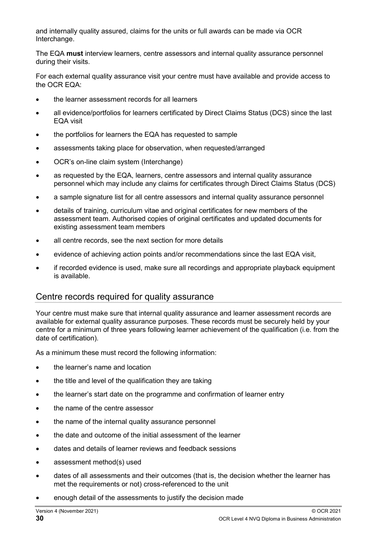and internally quality assured, claims for the units or full awards can be made via OCR Interchange.

The EQA **must** interview learners, centre assessors and internal quality assurance personnel during their visits.

For each external quality assurance visit your centre must have available and provide access to the OCR EQA:

- the learner assessment records for all learners
- all evidence/portfolios for learners certificated by Direct Claims Status (DCS) since the last EQA visit
- the portfolios for learners the EQA has requested to sample
- assessments taking place for observation, when requested/arranged
- OCR's on-line claim system (Interchange)
- as requested by the EQA, learners, centre assessors and internal quality assurance personnel which may include any claims for certificates through Direct Claims Status (DCS)
- a sample signature list for all centre assessors and internal quality assurance personnel
- details of training, curriculum vitae and original certificates for new members of the assessment team. Authorised copies of original certificates and updated documents for existing assessment team members
- all centre records, see the next section for more details
- evidence of achieving action points and/or recommendations since the last EQA visit,
- if recorded evidence is used, make sure all recordings and appropriate playback equipment is available.

#### Centre records required for quality assurance

Your centre must make sure that internal quality assurance and learner assessment records are available for external quality assurance purposes. These records must be securely held by your centre for a minimum of three years following learner achievement of the qualification (i.e. from the date of certification).

As a minimum these must record the following information:

- the learner's name and location
- the title and level of the qualification they are taking
- the learner's start date on the programme and confirmation of learner entry
- the name of the centre assessor
- the name of the internal quality assurance personnel
- the date and outcome of the initial assessment of the learner
- dates and details of learner reviews and feedback sessions
- assessment method(s) used
- dates of all assessments and their outcomes (that is, the decision whether the learner has met the requirements or not) cross-referenced to the unit
- enough detail of the assessments to justify the decision made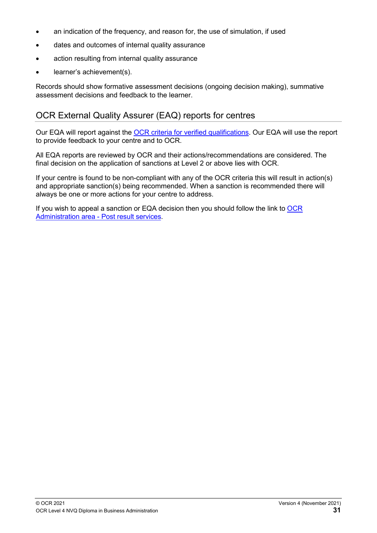- an indication of the frequency, and reason for, the use of simulation, if used
- dates and outcomes of internal quality assurance
- action resulting from internal quality assurance
- learner's achievement(s).

Records should show formative assessment decisions (ongoing decision making), summative assessment decisions and feedback to the learner.

#### OCR External Quality Assurer (EAQ) reports for centres

Our EQA will report against the [OCR criteria for verified qualifications.](https://www.ocr.org.uk/Images/15895-ocr-criteria-for-verified-qualifications.pdf) Our EQA will use the report to provide feedback to your centre and to OCR.

All EQA reports are reviewed by OCR and their actions/recommendations are considered. The final decision on the application of sanctions at Level 2 or above lies with OCR.

If your centre is found to be non-compliant with any of the OCR criteria this will result in action(s) and appropriate sanction(s) being recommended. When a sanction is recommended there will always be one or more actions for your centre to address.

If you wish to appeal a sanction or EQA decision then you should follow the link to  $OCR$ [Administration area -](https://www.ocr.org.uk/administration/other-vocational-qualifications/post-results/appeals/) Post result services.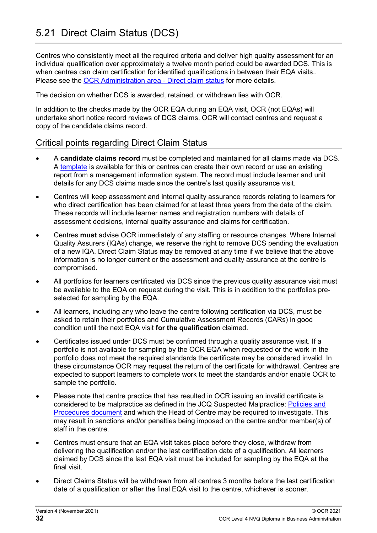<span id="page-31-0"></span>Centres who consistently meet all the required criteria and deliver high quality assessment for an individual qualification over approximately a twelve month period could be awarded DCS. This is when centres can claim certification for identified qualifications in between their EQA visits.. Please see the [OCR Administration area -](https://www.ocr.org.uk/administration/other-vocational-qualifications/assessment/verified-qualifications/direct-claim-status/) Direct claim status for more details.

The decision on whether DCS is awarded, retained, or withdrawn lies with OCR.

In addition to the checks made by the OCR EQA during an EQA visit, OCR (not EQAs) will undertake short notice record reviews of DCS claims. OCR will contact centres and request a copy of the candidate claims record.

#### Critical points regarding Direct Claim Status

- A **candidate claims record** must be completed and maintained for all claims made via DCS. A [template](https://www.ocr.org.uk/Images/633573-candidate-claims-record-template-for-verified-qualifications.xlsx) is available for this or centres can create their own record or use an existing report from a management information system. The record must include learner and unit details for any DCS claims made since the centre's last quality assurance visit.
- Centres will keep assessment and internal quality assurance records relating to learners for who direct certification has been claimed for at least three years from the date of the claim. These records will include learner names and registration numbers with details of assessment decisions, internal quality assurance and claims for certification.
- Centres **must** advise OCR immediately of any staffing or resource changes. Where Internal Quality Assurers (IQAs) change, we reserve the right to remove DCS pending the evaluation of a new IQA. Direct Claim Status may be removed at any time if we believe that the above information is no longer current or the assessment and quality assurance at the centre is compromised.
- All portfolios for learners certificated via DCS since the previous quality assurance visit must be available to the EQA on request during the visit. This is in addition to the portfolios preselected for sampling by the EQA.
- All learners, including any who leave the centre following certification via DCS, must be asked to retain their portfolios and Cumulative Assessment Records (CARs) in good condition until the next EQA visit **for the qualification** claimed.
- Certificates issued under DCS must be confirmed through a quality assurance visit. If a portfolio is not available for sampling by the OCR EQA when requested or the work in the portfolio does not meet the required standards the certificate may be considered invalid. In these circumstance OCR may request the return of the certificate for withdrawal. Centres are expected to support learners to complete work to meet the standards and/or enable OCR to sample the portfolio.
- Please note that centre practice that has resulted in OCR issuing an invalid certificate is considered to be malpractice as defined in the JCQ Suspected Malpractice: [Policies and](https://www.jcq.org.uk/exams-office/malpractice/)  [Procedures document](https://www.jcq.org.uk/exams-office/malpractice/) and which the Head of Centre may be required to investigate. This may result in sanctions and/or penalties being imposed on the centre and/or member(s) of staff in the centre.
- Centres must ensure that an EQA visit takes place before they close, withdraw from delivering the qualification and/or the last certification date of a qualification. All learners claimed by DCS since the last EQA visit must be included for sampling by the EQA at the final visit.
- Direct Claims Status will be withdrawn from all centres 3 months before the last certification date of a qualification or after the final EQA visit to the centre, whichever is sooner.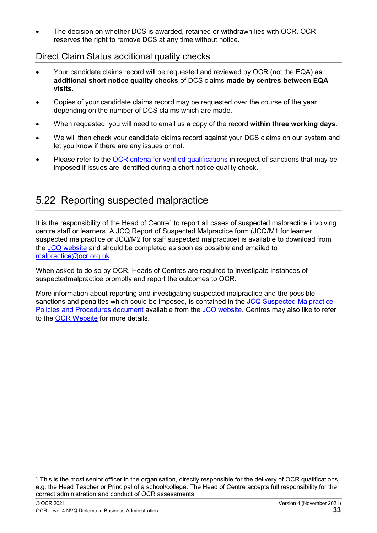• The decision on whether DCS is awarded, retained or withdrawn lies with OCR. OCR reserves the right to remove DCS at any time without notice.

#### Direct Claim Status additional quality checks

- Your candidate claims record will be requested and reviewed by OCR (not the EQA) **as additional short notice quality checks** of DCS claims **made by centres between EQA visits**.
- Copies of your candidate claims record may be requested over the course of the year depending on the number of DCS claims which are made.
- When requested, you will need to email us a copy of the record **within three working days**.
- We will then check your candidate claims record against your DCS claims on our system and let you know if there are any issues or not.
- Please refer to the [OCR criteria for verified qualifications](https://www.ocr.org.uk/Images/15895-ocr-criteria-for-verified-qualifications.pdf) in respect of sanctions that may be imposed if issues are identified during a short notice quality check.

## <span id="page-32-0"></span>5.22 Reporting suspected malpractice

It is the responsibility of the Head of Centre<sup>1</sup> to report all cases of suspected malpractice involving centre staff or learners. A JCQ Report of Suspected Malpractice form (JCQ/M1 for learner suspected malpractice or JCQ/M2 for staff suspected malpractice) is available to download from the [JCQ website](https://www.jcq.org.uk/exams-office/malpractice) and should be completed as soon as possible and emailed to [malpractice@ocr.org.uk.](mailto:malpractice@ocr.org.uk)

When asked to do so by OCR, Heads of Centres are required to investigate instances of suspectedmalpractice promptly and report the outcomes to OCR.

More information about reporting and investigating suspected malpractice and the possible sanctions and penalties which could be imposed, is contained in the [JCQ Suspected Malpractice](https://www.jcq.org.uk/exams-office/malpractice/)  [Policies and Procedures document](https://www.jcq.org.uk/exams-office/malpractice/) available from the [JCQ website.](https://www.jcq.org.uk/exams-office/malpractice) Centres may also like to refer to the [OCR Website](https://www.ocr.org.uk/administration/other-vocational-qualifications/assessment/malpractice/) for more details.

<span id="page-32-1"></span> <sup>1</sup> This is the most senior officer in the organisation, directly responsible for the delivery of OCR qualifications, e.g. the Head Teacher or Principal of a school/college. The Head of Centre accepts full responsibility for the correct administration and conduct of OCR assessments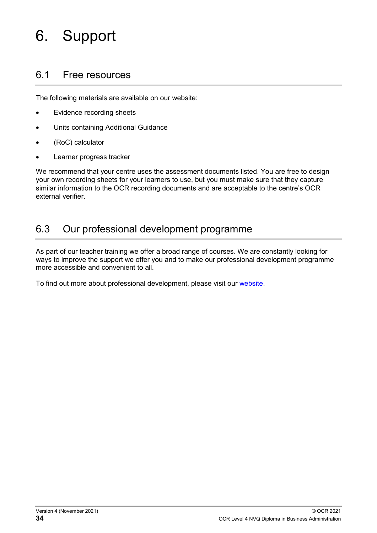# <span id="page-33-0"></span>6. Support

#### <span id="page-33-1"></span>6.1 Free resources

The following materials are available on our website:

- Evidence recording sheets
- Units containing Additional Guidance
- (RoC) calculator
- Learner progress tracker

We recommend that your centre uses the assessment documents listed. You are free to design your own recording sheets for your learners to use, but you must make sure that they capture similar information to the OCR recording documents and are acceptable to the centre's OCR external verifier.

### <span id="page-33-2"></span>6.3 Our professional development programme

As part of our teacher training we offer a broad range of courses. We are constantly looking for ways to improve the support we offer you and to make our professional development programme more accessible and convenient to all.

To find out more about professional development, please visit our [website.](https://ocr.org.uk/qualifications/professional-development/)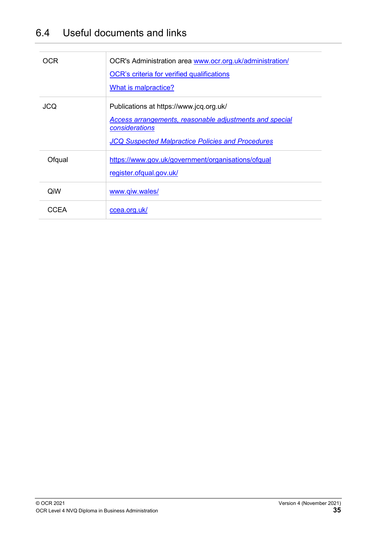## <span id="page-34-0"></span>6.4 Useful documents and links

| OCR        | OCR's Administration area www.ocr.org.uk/administration/<br><b>OCR's criteria for verified qualifications</b><br>What is malpractice?                                            |
|------------|----------------------------------------------------------------------------------------------------------------------------------------------------------------------------------|
| <b>JCQ</b> | Publications at https://www.jcq.org.uk/<br>Access arrangements, reasonable adjustments and special<br>considerations<br><b>JCQ Suspected Malpractice Policies and Procedures</b> |
| Ofqual     | https://www.gov.uk/government/organisations/ofqual<br>register.ofqual.gov.uk/                                                                                                    |
| QiW        | www.qiw.wales/                                                                                                                                                                   |
| CCFA       | ccea.org.uk/                                                                                                                                                                     |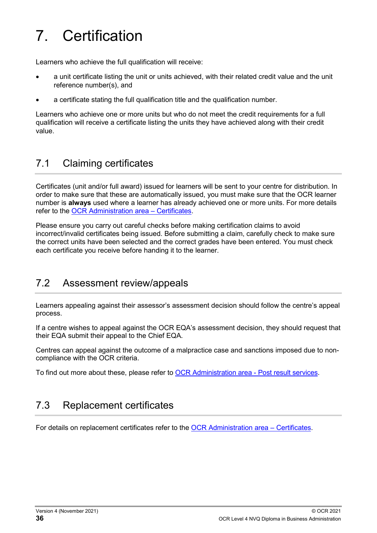# <span id="page-35-0"></span>7. Certification

Learners who achieve the full qualification will receive:

- a unit certificate listing the unit or units achieved, with their related credit value and the unit reference number(s), and
- a certificate stating the full qualification title and the qualification number.

Learners who achieve one or more units but who do not meet the credit requirements for a full qualification will receive a certificate listing the units they have achieved along with their credit value.

### <span id="page-35-1"></span>7.1 Claiming certificates

Certificates (unit and/or full award) issued for learners will be sent to your centre for distribution. In order to make sure that these are automatically issued, you must make sure that the OCR learner number is **always** used where a learner has already achieved one or more units. For more details refer to the [OCR Administration area –](https://www.ocr.org.uk/administration/other-vocational-qualifications/certificates/) Certificates.

Please ensure you carry out careful checks before making certification claims to avoid incorrect/invalid certificates being issued. Before submitting a claim, carefully check to make sure the correct units have been selected and the correct grades have been entered. You must check each certificate you receive before handing it to the learner.

### <span id="page-35-2"></span>7.2 Assessment review/appeals

Learners appealing against their assessor's assessment decision should follow the centre's appeal process.

If a centre wishes to appeal against the OCR EQA's assessment decision, they should request that their EQA submit their appeal to the Chief EQA.

Centres can appeal against the outcome of a malpractice case and sanctions imposed due to noncompliance with the OCR criteria.

<span id="page-35-3"></span>To find out more about these, please refer to [OCR Administration area -](https://www.ocr.org.uk/administration/other-vocational-qualifications/post-results/appeals/) Post result services.

## 7.3 Replacement certificates

For details on replacement certificates refer to the [OCR Administration area –](https://www.ocr.org.uk/administration/other-vocational-qualifications/certificates/) Certificates.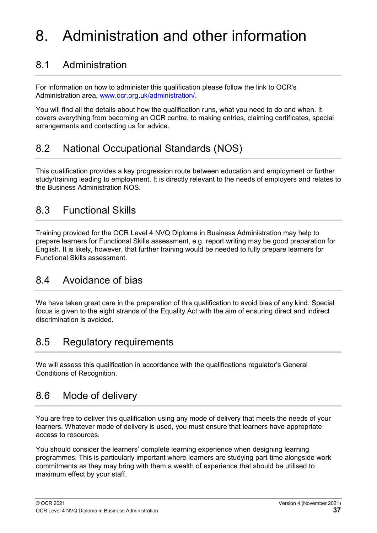# <span id="page-36-0"></span>8. Administration and other information

## <span id="page-36-1"></span>8.1 Administration

For information on how to administer this qualification please follow the link to OCR's Administration area, [www.ocr.org.uk/administration/.](http://www.ocr.org.uk/administration/)

You will find all the details about how the qualification runs, what you need to do and when. It covers everything from becoming an OCR centre, to making entries, claiming certificates, special arrangements and contacting us for advice.

## <span id="page-36-2"></span>8.2 National Occupational Standards (NOS)

This qualification provides a key progression route between education and employment or further study/training leading to employment. It is directly relevant to the needs of employers and relates to the Business Administration NOS.

## <span id="page-36-3"></span>8.3 Functional Skills

Training provided for the OCR Level 4 NVQ Diploma in Business Administration may help to prepare learners for Functional Skills assessment, e.g. report writing may be good preparation for English. It is likely, however, that further training would be needed to fully prepare learners for Functional Skills assessment.

## <span id="page-36-4"></span>8.4 Avoidance of bias

We have taken great care in the preparation of this qualification to avoid bias of any kind. Special focus is given to the eight strands of the Equality Act with the aim of ensuring direct and indirect discrimination is avoided.

## <span id="page-36-5"></span>8.5 Regulatory requirements

We will assess this qualification in accordance with the qualifications regulator's General Conditions of Recognition.

### <span id="page-36-6"></span>8.6 Mode of delivery

You are free to deliver this qualification using any mode of delivery that meets the needs of your learners. Whatever mode of delivery is used, you must ensure that learners have appropriate access to resources.

You should consider the learners' complete learning experience when designing learning programmes. This is particularly important where learners are studying part-time alongside work commitments as they may bring with them a wealth of experience that should be utilised to maximum effect by your staff.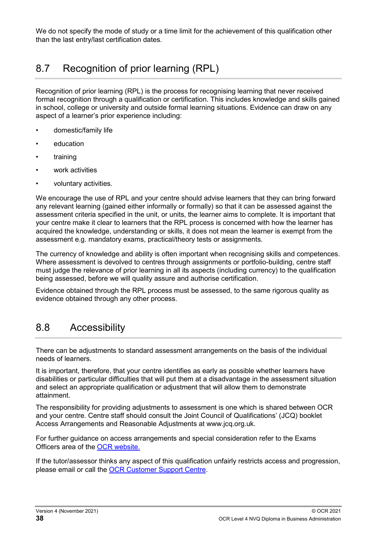We do not specify the mode of study or a time limit for the achievement of this qualification other than the last entry/last certification dates.

## <span id="page-37-0"></span>8.7 Recognition of prior learning (RPL)

Recognition of prior learning (RPL) is the process for recognising learning that never received formal recognition through a qualification or certification. This includes knowledge and skills gained in school, college or university and outside formal learning situations. Evidence can draw on any aspect of a learner's prior experience including:

- domestic/family life
- education
- training
- work activities
- voluntary activities.

We encourage the use of RPL and your centre should advise learners that they can bring forward any relevant learning (gained either informally or formally) so that it can be assessed against the assessment criteria specified in the unit, or units, the learner aims to complete. It is important that your centre make it clear to learners that the RPL process is concerned with how the learner has acquired the knowledge, understanding or skills, it does not mean the learner is exempt from the assessment e.g. mandatory exams, practical/theory tests or assignments.

The currency of knowledge and ability is often important when recognising skills and competences. Where assessment is devolved to centres through assignments or portfolio-building, centre staff must judge the relevance of prior learning in all its aspects (including currency) to the qualification being assessed, before we will quality assure and authorise certification.

Evidence obtained through the RPL process must be assessed, to the same rigorous quality as evidence obtained through any other process.

#### <span id="page-37-1"></span>8.8 Accessibility

There can be adjustments to standard assessment arrangements on the basis of the individual needs of learners.

It is important, therefore, that your centre identifies as early as possible whether learners have disabilities or particular difficulties that will put them at a disadvantage in the assessment situation and select an appropriate qualification or adjustment that will allow them to demonstrate attainment.

The responsibility for providing adjustments to assessment is one which is shared between OCR and your centre. Centre staff should consult the Joint Council of Qualifications' (JCQ) booklet Access Arrangements and Reasonable Adjustments at www.jcq.org.uk.

For further guidance on access arrangements and special consideration refer to the Exams Officers area of the [OCR website.](http://www.ocr.org.uk/ocr-for/exams-officers/) 

If the tutor/assessor thinks any aspect of this qualification unfairly restricts access and progression, please email or call the [OCR Customer Support Centre.](https://www.ocr.org.uk/contact-us/)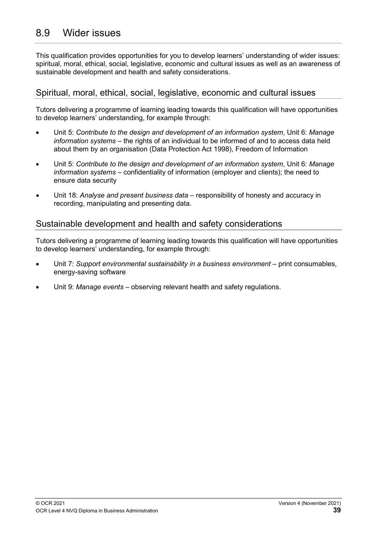<span id="page-38-0"></span>This qualification provides opportunities for you to develop learners' understanding of wider issues: spiritual, moral, ethical, social, legislative, economic and cultural issues as well as an awareness of sustainable development and health and safety considerations.

#### Spiritual, moral, ethical, social, legislative, economic and cultural issues

Tutors delivering a programme of learning leading towards this qualification will have opportunities to develop learners' understanding, for example through:

- Unit 5: *Contribute to the design and development of an information system*, Unit 6: *Manage information systems* – the rights of an individual to be informed of and to access data held about them by an organisation (Data Protection Act 1998), Freedom of Information
- Unit 5: *Contribute to the design and development of an information system*, Unit 6: *Manage information systems* – confidentiality of information (employer and clients); the need to ensure data security
- Unit 18: *Analyse and present business data* responsibility of honesty and accuracy in recording, manipulating and presenting data.

#### Sustainable development and health and safety considerations

Tutors delivering a programme of learning leading towards this qualification will have opportunities to develop learners' understanding, for example through:

- Unit 7: *Support environmental sustainability in a business environment* print consumables, energy-saving software
- Unit 9: *Manage events* observing relevant health and safety regulations.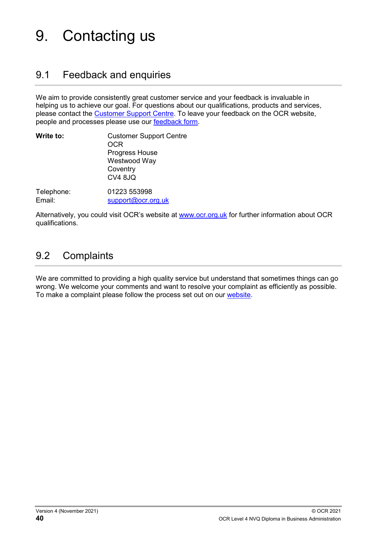# <span id="page-39-0"></span>9. Contacting us

#### <span id="page-39-1"></span>9.1 Feedback and enquiries

We aim to provide consistently great customer service and your feedback is invaluable in helping us to achieve our goal. For questions about our qualifications, products and services, please contact the [Customer Support Centre.](https://www.ocr.org.uk/contact-us/) To leave your feedback on the OCR website, people and processes please use our [feedback form.](https://www.ocr.org.uk/contact-us/feedback/)

| Write to:  | <b>Customer Support Centre</b><br>OCR<br>Progress House<br>Westwood Way<br>Coventry<br><b>CV4 8JQ</b> |
|------------|-------------------------------------------------------------------------------------------------------|
| Telephone: | 01223 553998                                                                                          |
| Email:     | support@ocr.org.uk                                                                                    |

Alternatively, you could visit OCR's website at [www.ocr.org.uk](http://www.ocr.org.uk/) for further information about OCR qualifications.

## <span id="page-39-2"></span>9.2 Complaints

We are committed to providing a high quality service but understand that sometimes things can go wrong. We welcome your comments and want to resolve your complaint as efficiently as possible. To make a complaint please follow the process set out on our [website.](https://www.ocr.org.uk/contact-us/complaints-policy/)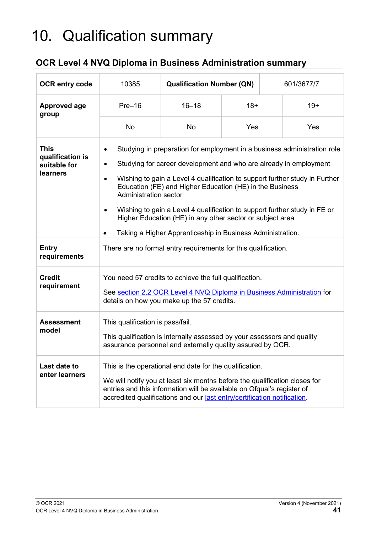# <span id="page-40-0"></span>10. Qualification summary

#### **OCR Level 4 NVQ Diploma in Business Administration summary**

| <b>OCR entry code</b>                                       | 10385                                                                                                                                                                                                                                                                                                                                                                                                                                                                                                                                                                                | <b>Qualification Number (QN)</b> |       |  | 601/3677/7 |
|-------------------------------------------------------------|--------------------------------------------------------------------------------------------------------------------------------------------------------------------------------------------------------------------------------------------------------------------------------------------------------------------------------------------------------------------------------------------------------------------------------------------------------------------------------------------------------------------------------------------------------------------------------------|----------------------------------|-------|--|------------|
| <b>Approved age</b><br>group                                | $Pre-16$                                                                                                                                                                                                                                                                                                                                                                                                                                                                                                                                                                             | $16 - 18$                        | $18+$ |  | $19+$      |
|                                                             | <b>No</b>                                                                                                                                                                                                                                                                                                                                                                                                                                                                                                                                                                            | <b>No</b>                        | Yes   |  | Yes        |
| <b>This</b><br>qualification is<br>suitable for<br>learners | Studying in preparation for employment in a business administration role<br>$\bullet$<br>Studying for career development and who are already in employment<br>$\bullet$<br>Wishing to gain a Level 4 qualification to support further study in Further<br>Education (FE) and Higher Education (HE) in the Business<br><b>Administration sector</b><br>Wishing to gain a Level 4 qualification to support further study in FE or<br>$\bullet$<br>Higher Education (HE) in any other sector or subject area<br>Taking a Higher Apprenticeship in Business Administration.<br>$\bullet$ |                                  |       |  |            |
| <b>Entry</b><br>requirements                                | There are no formal entry requirements for this qualification.                                                                                                                                                                                                                                                                                                                                                                                                                                                                                                                       |                                  |       |  |            |
| <b>Credit</b><br>requirement                                | You need 57 credits to achieve the full qualification.<br>See section 2.2 OCR Level 4 NVQ Diploma in Business Administration for<br>details on how you make up the 57 credits.                                                                                                                                                                                                                                                                                                                                                                                                       |                                  |       |  |            |
| <b>Assessment</b><br>model                                  | This qualification is pass/fail.<br>This qualification is internally assessed by your assessors and quality<br>assurance personnel and externally quality assured by OCR.                                                                                                                                                                                                                                                                                                                                                                                                            |                                  |       |  |            |
| Last date to<br>enter learners                              | This is the operational end date for the qualification.<br>We will notify you at least six months before the qualification closes for<br>entries and this information will be available on Ofqual's register of<br>accredited qualifications and our last entry/certification notification.                                                                                                                                                                                                                                                                                          |                                  |       |  |            |